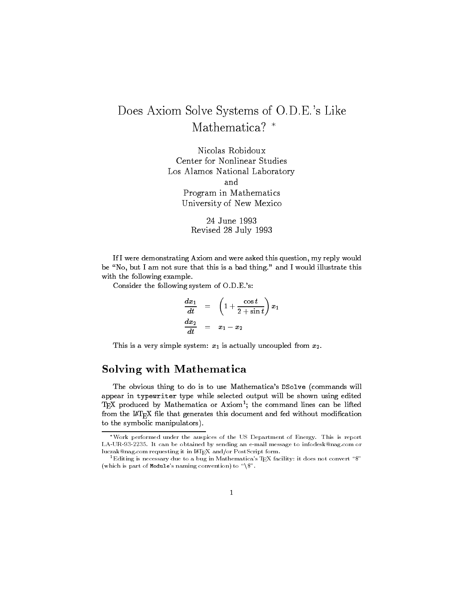## Does Axiom Solve Systems of O.D.E.'s Like Mathematica-

Nicolas Robidoux Center for Nonlinear Studies Los Alamos National Laboratory and Program in Mathematics University of New Mexico

Revised July -

If I were demonstrating Axiom and were asked this question, my reply would be No but I am not sure that this is a bad thing-thing-thing-thing-thing-thing-thing-thing-thing-thing-thing-thingwith the following example.

Consider the following system of O-D-E-s

$$
\begin{array}{rcl} \displaystyle \frac{dx_1}{dt} & = & \displaystyle \left(1 + \frac{\cos t}{2+\sin t}\right)x_1 \\ \displaystyle \frac{dx_2}{dt} & = & \displaystyle x_1 - x_2 \end{array}
$$

This is a very simple system:  $x_1$  is actually uncoupled from  $x_2$ .

## Solving with Mathematica

The obvious thing the obvious thing to do is to use  $M$  . This to use  $M$ appear in typewriter type while selected output will be shown using edited TEA produced by Mathematica or Axiom; the command lines can be lifted from the  $I\!\!AT_{\!F\!X}$  file that generates this document and fed without modification to the symbolic manipulators).

Work performed under the auspices of the US Department of Energy This is report LAUR- It can be obtained by sending an email message to infodesknagcom or luczak@nag.com requesting it in  $\text{LATEX}$  and/or PostScript form.

<sup>-</sup>Editing is necessary due to a bug in Mathematica's TEA facility: It does not convert " $\mathfrak{d}^+$ which is part of Modules naminary convention to the  $\alpha$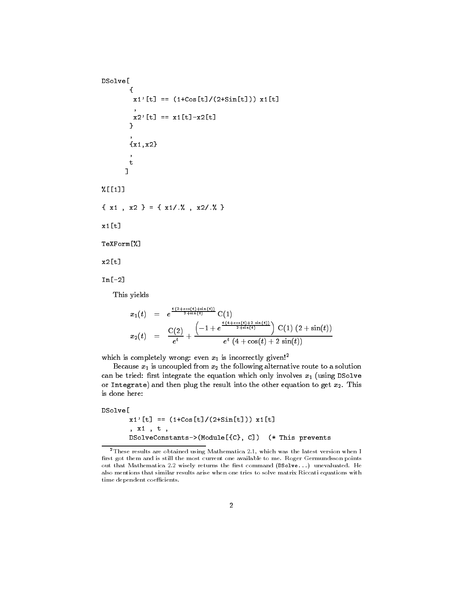```
<u>_ _ _ _ _ _</u>

                   x-
t  -
Cost	Sint

 x-
t

                   the state of the state of the state of the state of the state of the state of the state of the state of the state of
                \mathcal{L} . The contract of the contract of the contract of the contract of the contract of the contract of the contract of the contract of the contract of the contract of the contract of the contract of the contract of th

                x-
x	

               \mathbf t
-

 x-
  x	 
   x-
  x	 

x-
t
T = T . The T = T of Tx2[t]
In[-2]This yields
                                          \frac{c_1 \cos(\theta) + \sin(\theta)}{2 + \sin(\theta)} C(1)\sim t \sim t \sim-
                                                          e^{-1} + e^{\frac{t(4+\cos(t)+2\sin(t))}{2+\sin(t)}} C(1) (2+\sin(t))x_2(t) = \frac{1}{e^t} + \frac{1}{t}
```
which is completely wrong: even  $x_1$  is incorrectly given!<sup>2</sup>

Because  $x_1$  is uncoupled from  $x_2$  the following alternative route to a solution can be tried the exceptance the equations which only involves x  $\mathbb{I}$  (normal particles) or Integrated and the result into the other exists into the other to get x-0. This is a is done here:

 $c_{\perp}$  (4  $\pm$  COS(*t*)  $\pm$  Z SIII(*t*))

```
DSolve<sup>[</sup>
                   x-
t  -
Cost	Sint

 x-
t
                   \cdot . The set of \cdot is the set of \cdotdiscussed and the constants of the constants of the constants of the constants of the constant of the constant of the constant of the constant of the constant of the constant of the constant of the constant of the constant
```
 $2$ These results are obtained using Mathematica 2.1, which was the latest version when I first got them and is still the most current one available to me. Roger Germundsson points out that Mathematica 2.2 wisely returns the first command (DSolve...) unevaluated. He also mentions that similar results arise when one tries to solve matrix Riccati equations with time dependent coefficients.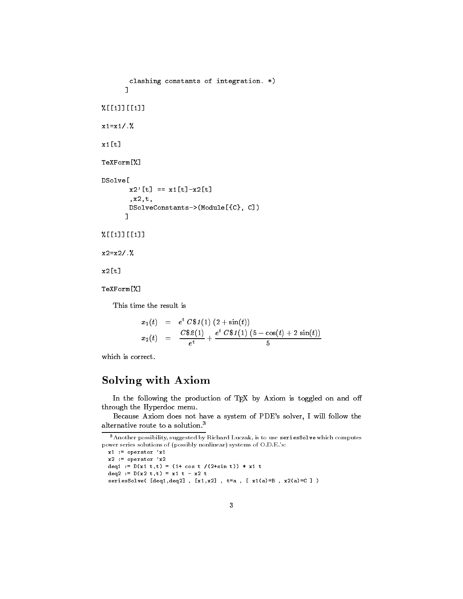```
clashing constants of integration. *)

-
-

x-
x-

the contract of the contract of the contract of the contract of the contract of the contract of the contract of
TeXForm<sup>[%]</sup>
DSolve
<u>_ _ _ _ _ _</u>
          x	t  x-
tx	t
          , x2, t,
         DSolveConstants->(Module[{C}, C])
-
-

x2 = x2 / .%
x2[t]TeXForm[%]
```
This time the result is

$$
x_1(t) = e^t \; C\$\,1\,1\,1\,2 + \sin(t)]
$$
  

$$
x_2(t) = \frac{C\$\,2\,1\,1\,1\,1\,e^t \; C\$\,1\,1\,1\,1\,5 - \cos(t) + 2\sin(t)]}{e^t}
$$

which is correct.

## Solving with Axiom

In the following the production of TEX by Axiom is toggled on and off through the Hyperdoc menu.

Because Axiom does not have a system of PDE's solver, I will follow the alternative route to a solution--

```
x -
 operator x
x -
 operator x
dig - Dial viv, il vyd v /illidi v// - al v
die bing voor de deur de
seriesSolve([deq1,deq2], [x1,x2], t=a, [x1(a)=B, x2(a)=C])
```
<sup>-</sup>Another possibility suggested by Richard Luczak is to use seriesSolve which computes power series solutions of (possibly nonlinear) systems of O.D.E.'s: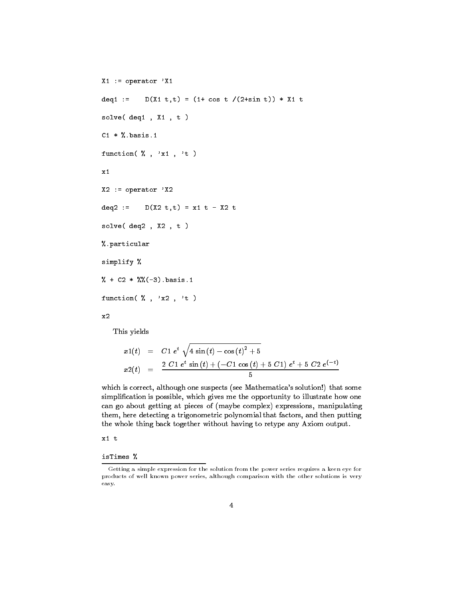```
X-
  operator X-
deq1 :=  DX-
 tt
  -
 cos t 	sin t

  X-
 t
 solve decree de la construction de la construction de la construction de la construction de la construction de
 C-
  basis-
 function \mathbf{r} \cdot \mathbf{r} , we can assume that \mathbf{r} \cdot \mathbf{r}x_1X2 := operator YX2decision to the contract of the contract of the contract of the contract of the contract of the contract of the
solve(deq2, X2, t)
% particular
simplify 
 \sim . The contract of the contract of the contract of the contract of the contract of the contract of the contract of the contract of the contract of the contract of the contract of the contract of the contract of the co
function \left( \begin{array}{ccc} \gamma & , & \gamma_{x2} \\ \gamma & , & \gamma_{x2} \end{array} \right)x<sub>2</sub>
```
This yields

$$
x1(t) = C1 et \sqrt{4 \sin(t) - \cos(t)^{2} + 5}
$$
  

$$
x2(t) = \frac{2 C1 e^{t} \sin(t) + (-C1 \cos(t) + 5 C1) e^{t} + 5 C2 e^{(-t)}}{5}
$$

which is correctly although one suspects your mathematicas solutions, colutions to simplification is possible, which gives me the opportunity to illustrate how one can go about getting at pieces to passiget examples, supersoring assumply at the  $\alpha$ them, here detecting a trigonometric polynomial that factors, and then putting the whole thing back together without having to retype any Axiom output.

isTimes %

Getting a simple expression for the solution from the power series requires a keen eye for products of well known power series, although comparison with the other solutions is very easy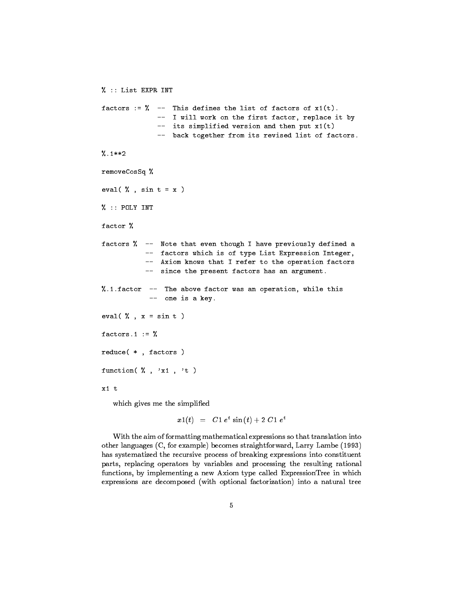```
  List EXPR INT
factors    This defines the list of factors of x-
t

                   -- I will work on the first factor, replace it by
                    its simplified version and then put then put \mathbf{r} and then put \mathbf{r} and then put \mathbf{r}-- back together from its revised list of factors.
-

removeCosSq %
eval \left( \frac{y}{x}, sin t = x )
\% :: POLY INT
factor %
factors % -- Note that even though I have previously defined a
               -- factors which is of type List Expression Integer,
               -- Axiom knows that I refer to the operation factors
               -- since the present factors has an argument.
\mathbf{f} . The above factor was an operation was an operation while this this contribution while this contribution while this contribution was an operation while this contribution was an operation while this contribution 
                -- one is a key.
eval (X, x = \sin t)factors.1 := \%\sim \sim \sim \simreduce (* , factors )function \mathbf{r} \cdot \mathbf{r} , we can assume that \mathbf{r} \cdot \mathbf{r}x1 t
```
which gives me the simplified

 $x_1(t) = C_1 e^x \sin(t) + 2 C_1 e^x$ 

With the aim of formatting mathematical expressions so that translation into other languages ( ) is community to community and many discussions ( ) is ( ) ) . has systematized the recursive process of breaking expressions into constituent parts, replacing operators by variables and processing the resulting rational functions by implementing a new Axiom type called ExpressionTree in which expressions are decomposed with optional factorization
 into a natural tree